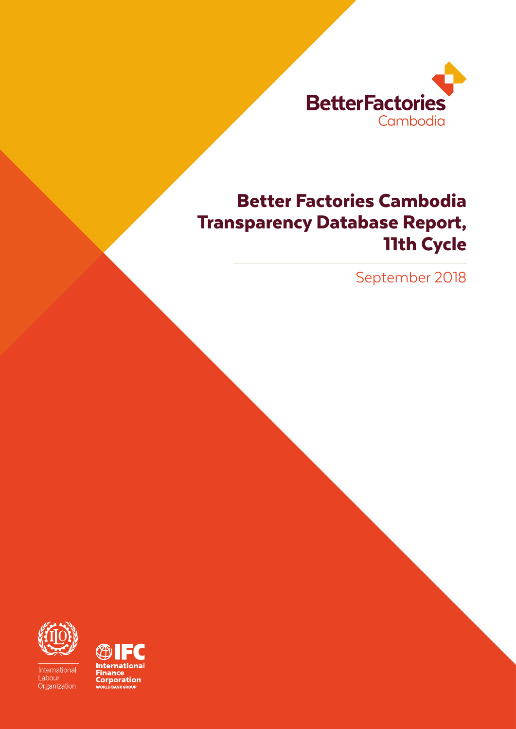

# Better Factories Cambodia Transparency Database Report, 11th Cycle

September 2018



International Labour Organization

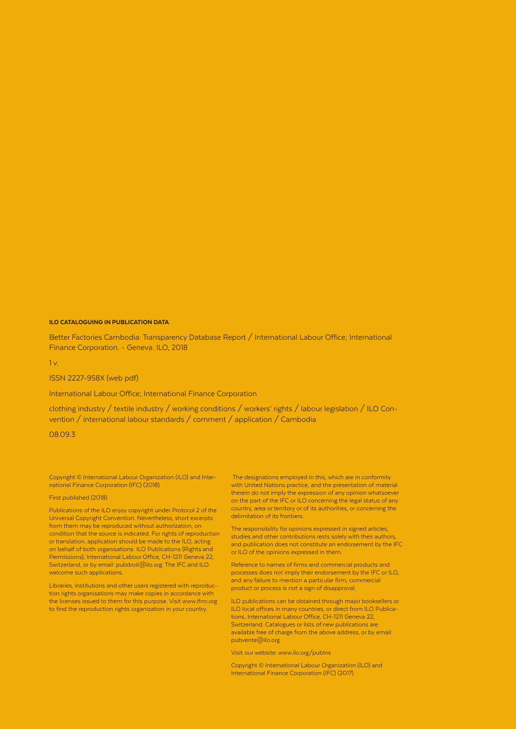#### ILO CATALOGUING IN PUBLICATION DATA

Better Factories Cambodia: Transparency Database Report / International Labour Office; International Finance Corporation. - Geneva: ILO, 2018

1 v.

#### ISSN 2227-958X (web pdf)

International Labour Office; International Finance Corporation

clothing industry / textile industry / working conditions / workers' rights / labour legislation / ILO Convention / international labour standards / comment / application / Cambodia

08.09.3

Copyright © International Labour Organization (ILO) and International Finance Corporation (IFC) (2018)

#### First published (2018)

Publications of the ILO enjoy copyright under Protocol 2 of the Universal Copyright Convention. Nevertheless, short excerpts from them may be reproduced without authorization, on condition that the source is indicated. For rights of reproduction or translation, application should be made to the ILO, acting on behalf of both organisations: ILO Publications (Rights and Permissions), International Labour Office, CH-1211 Geneva 22, Switzerland, or by email: pubdroit@ilo.org. The IFC and ILO welcome such applications.

Libraries, institutions and other users registered with reproduction rights organisations may make copies in accordance with the licenses issued to them for this purpose. Visit www.ifrro.org to find the reproduction rights organization in your country.

 The designations employed in this, which are in conformity with United Nations practice, and the presentation of material therein do not imply the expression of any opinion whatsoever on the part of the IFC or ILO concerning the legal status of any country, area or territory or of its authorities, or concerning the delimitation of its frontiers.

The responsibility for opinions expressed in signed articles, studies and other contributions rests solely with their authors, and publication does not constitute an endorsement by the IFC or ILO of the opinions expressed in them.

Reference to names of firms and commercial products and processes does not imply their endorsement by the IFC or ILO, and any failure to mention a particular firm, commercial product or process is not a sign of disapproval.

ILO publications can be obtained through major booksellers or ILO local offices in many countries, or direct from ILO Publications, International Labour Office, CH-1211 Geneva 22, Switzerland. Catalogues or lists of new publications are available free of charge from the above address, or by email: pubvente@ilo.org

Visit our website: www.ilo.org/publns

Copyright © International Labour Organization (ILO) and International Finance Corporation (IFC) (2017)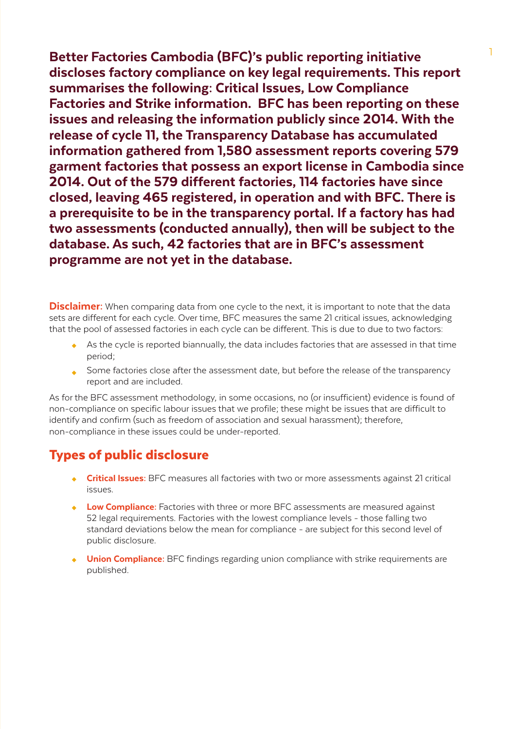Better Factories Cambodia (BFC)'s public reporting initiative discloses factory compliance on key legal requirements. This report summarises the following: Critical Issues, Low Compliance Factories and Strike information. BFC has been reporting on these issues and releasing the information publicly since 2014. With the release of cycle 11, the Transparency Database has accumulated information gathered from 1,580 assessment reports covering 579 garment factories that possess an export license in Cambodia since 2014. Out of the 579 different factories, 114 factories have since closed, leaving 465 registered, in operation and with BFC. There is a prerequisite to be in the transparency portal. If a factory has had two assessments (conducted annually), then will be subject to the database. As such, 42 factories that are in BFC's assessment programme are not yet in the database.

**Disclaimer:** When comparing data from one cycle to the next, it is important to note that the data sets are different for each cycle. Over time, BFC measures the same 21 critical issues, acknowledging that the pool of assessed factories in each cycle can be different. This is due to due to two factors:

- As the cycle is reported biannually, the data includes factories that are assessed in that time period;
- Some factories close after the assessment date, but before the release of the transparency report and are included.

As for the BFC assessment methodology, in some occasions, no (or insufficient) evidence is found of non-compliance on specific labour issues that we profile; these might be issues that are difficult to identify and confirm (such as freedom of association and sexual harassment); therefore, non-compliance in these issues could be under-reported.

# Types of public disclosure

- Critical Issues: BFC measures all factories with two or more assessments against 21 critical issues.
- **Low Compliance:** Factories with three or more BFC assessments are measured against 52 legal requirements. Factories with the lowest compliance levels - those falling two standard deviations below the mean for compliance - are subject for this second level of public disclosure.
- **Union Compliance:** BFC findings regarding union compliance with strike requirements are published.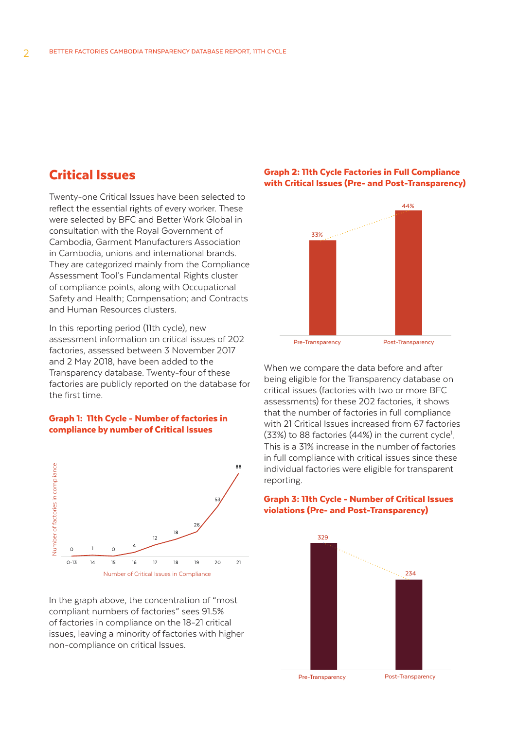## Critical Issues

Twenty-one Critical Issues have been selected to reflect the essential rights of every worker. These were selected by BFC and Better Work Global in consultation with the Royal Government of Cambodia, Garment Manufacturers Association in Cambodia, unions and international brands. They are categorized mainly from the Compliance Assessment Tool's Fundamental Rights cluster of compliance points, along with Occupational Safety and Health; Compensation; and Contracts and Human Resources clusters.

In this reporting period (11th cycle), new assessment information on critical issues of 202 factories, assessed between 3 November 2017 and 2 May 2018, have been added to the Transparency database. Twenty-four of these factories are publicly reported on the database for the first time.

#### Graph 1: 11th Cycle - Number of factories in compliance by number of Critical Issues



In the graph above, the concentration of "most compliant numbers of factories" sees 91.5% of factories in compliance on the 18-21 critical issues, leaving a minority of factories with higher non-compliance on critical Issues.

### Graph 2: 11th Cycle Factories in Full Compliance with Critical Issues (Pre- and Post-Transparency)



Pre-Transparency Post-Transparency

When we compare the data before and after being eligible for the Transparency database on critical issues (factories with two or more BFC assessments) for these 202 factories, it shows that the number of factories in full compliance with 21 Critical Issues increased from 67 factories  $(33%)$  to 88 factories  $(44%)$  in the current cycle<sup>1</sup>. This is a 31% increase in the number of factories in full compliance with critical issues since these individual factories were eligible for transparent reporting.

### Graph 3: 11th Cycle - Number of Critical Issues violations (Pre- and Post-Transparency)



Pre-Transparency

Post-Transparency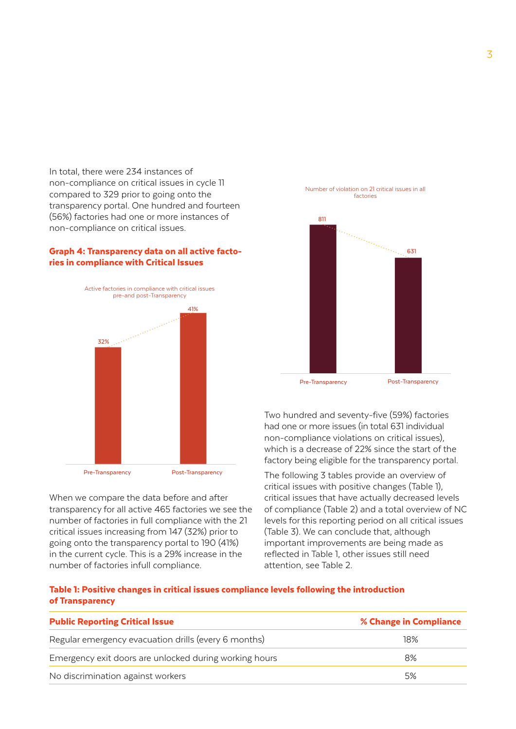In total, there were 234 instances of non-compliance on critical issues in cycle 11 compared to 329 prior to going onto the transparency portal. One hundred and fourteen (56%) factories had one or more instances of non-compliance on critical issues.

#### Graph 4: Transparency data on all active factories in compliance with Critical Issues



When we compare the data before and after transparency for all active 465 factories we see the number of factories in full compliance with the 21 critical issues increasing from 147 (32%) prior to going onto the transparency portal to 190 (41%) in the current cycle. This is a 29% increase in the number of factories infull compliance.



Two hundred and seventy-five (59%) factories had one or more issues (in total 631 individual non-compliance violations on critical issues), which is a decrease of 22% since the start of the factory being eligible for the transparency portal.

The following 3 tables provide an overview of critical issues with positive changes (Table 1), critical issues that have actually decreased levels of compliance (Table 2) and a total overview of NC levels for this reporting period on all critical issues (Table 3). We can conclude that, although important improvements are being made as reflected in Table 1, other issues still need attention, see Table 2.

#### Table 1: Positive changes in critical issues compliance levels following the introduction of Transparency

| <b>Public Reporting Critical Issue</b>                 | % Change in Compliance |
|--------------------------------------------------------|------------------------|
| Regular emergency evacuation drills (every 6 months)   | 18%                    |
| Emergency exit doors are unlocked during working hours | 8%                     |
| No discrimination against workers                      | 5%                     |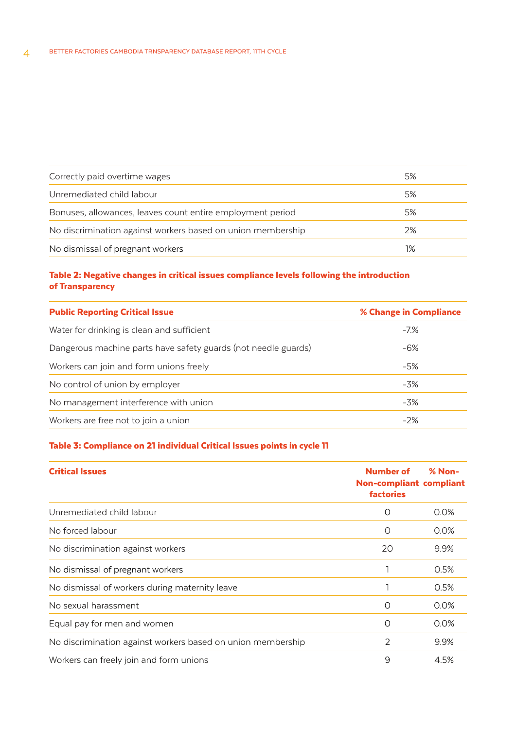| Correctly paid overtime wages                               | 5% |
|-------------------------------------------------------------|----|
|                                                             |    |
| Unremediated child labour                                   | 5% |
| Bonuses, allowances, leaves count entire employment period  | 5% |
| No discrimination against workers based on union membership | 2% |
| No dismissal of pregnant workers                            | 1% |

### Table 2: Negative changes in critical issues compliance levels following the introduction of Transparency

| <b>Public Reporting Critical Issue</b>                         | % Change in Compliance |
|----------------------------------------------------------------|------------------------|
| Water for drinking is clean and sufficient                     | $-7\%$                 |
| Dangerous machine parts have safety guards (not needle guards) | -6%                    |
| Workers can join and form unions freely                        | -5%                    |
| No control of union by employer                                | -3%                    |
| No management interference with union                          | $-3\%$                 |
| Workers are free not to join a union                           | $-2%$                  |

### Table 3: Compliance on 21 individual Critical Issues points in cycle 11

| <b>Critical Issues</b>                                      | Number of<br><b>Non-compliant compliant</b><br><b>factories</b> | $% Non-$ |
|-------------------------------------------------------------|-----------------------------------------------------------------|----------|
| Unremediated child labour                                   | O                                                               | 0.0%     |
| No forced labour                                            | O                                                               | 0.0%     |
| No discrimination against workers                           | 20                                                              | 9.9%     |
| No dismissal of pregnant workers                            |                                                                 | 0.5%     |
| No dismissal of workers during maternity leave              |                                                                 | 0.5%     |
| No sexual harassment                                        | O                                                               | 0.0%     |
| Equal pay for men and women                                 | O                                                               | 0.0%     |
| No discrimination against workers based on union membership | $\overline{2}$                                                  | 9.9%     |
| Workers can freely join and form unions                     | 9                                                               | 4.5%     |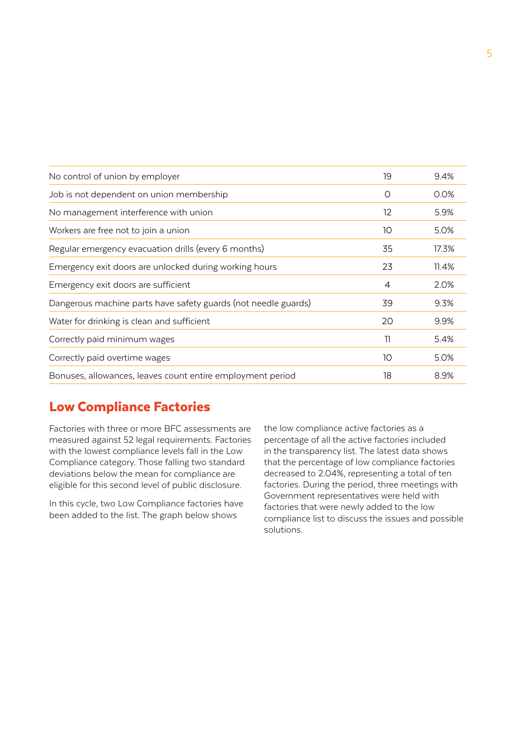| No control of union by employer                                | 19             | 9.4%  |
|----------------------------------------------------------------|----------------|-------|
| Job is not dependent on union membership                       | O              | 0.0%  |
| No management interference with union                          | 12             | 5.9%  |
| Workers are free not to join a union                           | 10             | 5.0%  |
| Regular emergency evacuation drills (every 6 months)           | 35             | 17.3% |
| Emergency exit doors are unlocked during working hours         | 23             | 11.4% |
| Emergency exit doors are sufficient                            | $\overline{4}$ | 2.0%  |
| Dangerous machine parts have safety guards (not needle guards) | 39             | 9.3%  |
| Water for drinking is clean and sufficient                     | 20             | 9.9%  |
| Correctly paid minimum wages                                   | 11             | 5.4%  |
| Correctly paid overtime wages                                  | 10             | 5.0%  |
| Bonuses, allowances, leaves count entire employment period     | 18             | 8.9%  |

# Low Compliance Factories

Factories with three or more BFC assessments are measured against 52 legal requirements. Factories with the lowest compliance levels fall in the Low Compliance category. Those falling two standard deviations below the mean for compliance are eligible for this second level of public disclosure.

In this cycle, two Low Compliance factories have been added to the list. The graph below shows

the low compliance active factories as a percentage of all the active factories included in the transparency list. The latest data shows that the percentage of low compliance factories decreased to 2.04%, representing a total of ten factories. During the period, three meetings with Government representatives were held with factories that were newly added to the low compliance list to discuss the issues and possible solutions.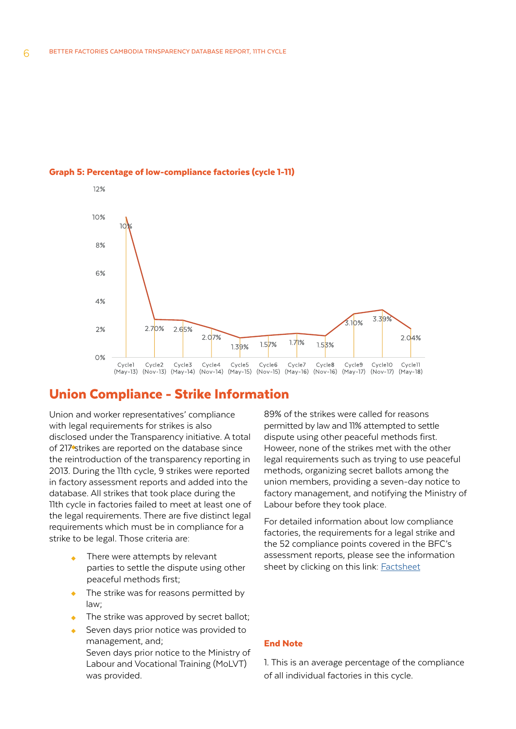



### Union Compliance - Strike Information

Union and worker representatives' compliance with legal requirements for strikes is also disclosed under the Transparency initiative. A total of 217 strikes are reported on the database since the reintroduction of the transparency reporting in 2013. During the 11th cycle, 9 strikes were reported in factory assessment reports and added into the database. All strikes that took place during the 11th cycle in factories failed to meet at least one of the legal requirements. There are five distinct legal requirements which must be in compliance for a strike to be legal. Those criteria are:

- There were attempts by relevant parties to settle the dispute using other peaceful methods first;
- The strike was for reasons permitted by law;
- The strike was approved by secret ballot;
- Seven days prior notice to the Ministry of Labour and Vocational Training (MoLVT) was provided. Seven days prior notice was provided to management, and;

89% of the strikes were called for reasons permitted by law and 11% attempted to settle dispute using other peaceful methods first. Howeer, none of the strikes met with the other legal requirements such as trying to use peaceful methods, organizing secret ballots among the union members, providing a seven-day notice to factory management, and notifying the Ministry of Labour before they took place.

For detailed information about low compliance factories, the requirements for a legal strike and the 52 compliance points covered in the BFC's assessment reports, please see the information sheet by clicking on this link: **[Factsheet](http://betterfactories.org/transparency/en/pages/view/18)** 

#### End Note

1. This is an average percentage of the compliance of all individual factories in this cycle.